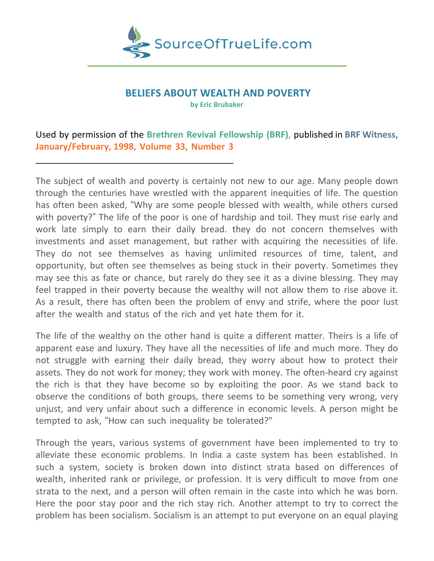

# **BELIEFS ABOUT WEALTH AND POVERTY**

**by Eric Brubaker**

## Used by permission of the **Brethren Revival Fellowship (BRF)**, published in **BRF Witness, January/February, 1998, Volume 33, Number 3**

\_\_\_\_\_\_\_\_\_\_\_\_\_\_\_\_\_\_\_\_\_\_\_\_\_\_\_\_\_\_\_\_\_\_\_\_\_\_\_\_

The subject of wealth and poverty is certainly not new to our age. Many people down through the centuries have wrestled with the apparent inequities of life. The question has often been asked, "Why are some people blessed with wealth, while others cursed with poverty?" The life of the poor is one of hardship and toil. They must rise early and work late simply to earn their daily bread. they do not concern themselves with investments and asset management, but rather with acquiring the necessities of life. They do not see themselves as having unlimited resources of time, talent, and opportunity, but often see themselves as being stuck in their poverty. Sometimes they may see this as fate or chance, but rarely do they see it as a divine blessing. They may feel trapped in their poverty because the wealthy will not allow them to rise above it. As a result, there has often been the problem of envy and strife, where the poor lust after the wealth and status of the rich and yet hate them for it.

The life of the wealthy on the other hand is quite a different matter. Theirs is a life of apparent ease and luxury. They have all the necessities of life and much more. They do not struggle with earning their daily bread, they worry about how to protect their assets. They do not work for money; they work with money. The often-heard cry against the rich is that they have become so by exploiting the poor. As we stand back to observe the conditions of both groups, there seems to be something very wrong, very unjust, and very unfair about such a difference in economic levels. A person might be tempted to ask, "How can such inequality be tolerated?"

Through the years, various systems of government have been implemented to try to alleviate these economic problems. In India a caste system has been established. In such a system, society is broken down into distinct strata based on differences of wealth, inherited rank or privilege, or profession. It is very difficult to move from one strata to the next, and a person will often remain in the caste into which he was born. Here the poor stay poor and the rich stay rich. Another attempt to try to correct the problem has been socialism. Socialism is an attempt to put everyone on an equal playing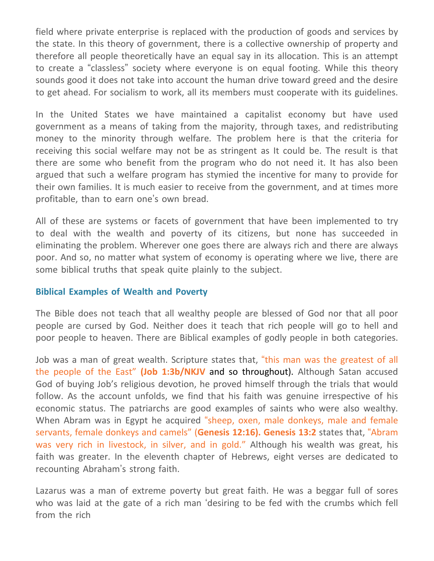field where private enterprise is replaced with the production of goods and services by the state. In this theory of government, there is a collective ownership of property and therefore all people theoretically have an equal say in its allocation. This is an attempt to create a "classless" society where everyone is on equal footing. While this theory sounds good it does not take into account the human drive toward greed and the desire to get ahead. For socialism to work, all its members must cooperate with its guidelines.

In the United States we have maintained a capitalist economy but have used government as a means of taking from the majority, through taxes, and redistributing money to the minority through welfare. The problem here is that the criteria for receiving this social welfare may not be as stringent as It could be. The result is that there are some who benefit from the program who do not need it. It has also been argued that such a welfare program has stymied the incentive for many to provide for their own families. It is much easier to receive from the government, and at times more profitable, than to earn one's own bread.

All of these are systems or facets of government that have been implemented to try to deal with the wealth and poverty of its citizens, but none has succeeded in eliminating the problem. Wherever one goes there are always rich and there are always poor. And so, no matter what system of economy is operating where we live, there are some biblical truths that speak quite plainly to the subject.

### **Biblical Examples of Wealth and Poverty**

The Bible does not teach that all wealthy people are blessed of God nor that all poor people are cursed by God. Neither does it teach that rich people will go to hell and poor people to heaven. There are Biblical examples of godly people in both categories.

Job was a man of great wealth. Scripture states that, "this man was the greatest of all the people of the East" **(Job 1:3b/NKJV** and so throughout). Although Satan accused God of buying Job's religious devotion, he proved himself through the trials that would follow. As the account unfolds, we find that his faith was genuine irrespective of his economic status. The patriarchs are good examples of saints who were also wealthy. When Abram was in Egypt he acquired "sheep, oxen, male donkeys, male and female servants, female donkeys and camels" (**Genesis 12:16). Genesis 13:2** states that, "Abram was very rich in livestock, in silver, and in gold." Although his wealth was great, his faith was greater. In the eleventh chapter of Hebrews, eight verses are dedicated to recounting Abraham's strong faith.

Lazarus was a man of extreme poverty but great faith. He was a beggar full of sores who was laid at the gate of a rich man 'desiring to be fed with the crumbs which fell from the rich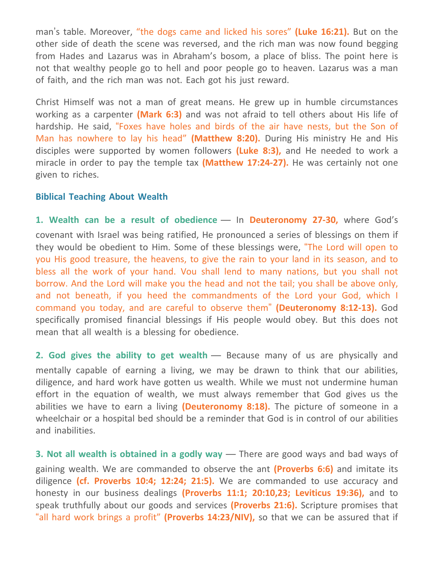man's table. Moreover, "the dogs came and licked his sores" **(Luke 16:21).** But on the other side of death the scene was reversed, and the rich man was now found begging from Hades and Lazarus was in Abraham's bosom, a place of bliss. The point here is not that wealthy people go to hell and poor people go to heaven. Lazarus was a man of faith, and the rich man was not. Each got his just reward.

Christ Himself was not a man of great means. He grew up in humble circumstances working as a carpenter **(Mark 6:3)** and was not afraid to tell others about His life of hardship. He said, "Foxes have holes and birds of the air have nests, but the Son of Man has nowhere to lay his head" **(Matthew 8:20).** During His ministry He and His disciples were supported by women followers **(Luke 8:3),** and He needed to work a miracle in order to pay the temple tax **(Matthew 17:24-27).** He was certainly not one given to riches.

#### **Biblical Teaching About Wealth**

**1. Wealth can be a result of obedience** — In **Deuteronomy 27-30,** where God's covenant with Israel was being ratified, He pronounced a series of blessings on them if they would be obedient to Him. Some of these blessings were, "The Lord will open to you His good treasure, the heavens, to give the rain to your land in its season, and to bless all the work of your hand. Vou shall lend to many nations, but you shall not borrow. And the Lord will make you the head and not the tail; you shall be above only, and not beneath, if you heed the commandments of the Lord your God, which I command you today, and are careful to observe them" **(Deuteronomy 8:12-13).** God specifically promised financial blessings if His people would obey. But this does not mean that all wealth is a blessing for obedience.

**2. God gives the ability to get wealth** — Because many of us are physically and mentally capable of earning a living, we may be drawn to think that our abilities, diligence, and hard work have gotten us wealth. While we must not undermine human effort in the equation of wealth, we must always remember that God gives us the abilities we have to earn a living **(Deuteronomy 8:18).** The picture of someone in a wheelchair or a hospital bed should be a reminder that God is in control of our abilities and inabilities.

**3. Not all wealth is obtained in a godly way** — There are good ways and bad ways of gaining wealth. We are commanded to observe the ant **(Proverbs 6:6)** and imitate its diligence **(cf. Proverbs 10:4; 12:24; 21:5).** We are commanded to use accuracy and honesty in our business dealings **(Proverbs 11:1; 20:10,23; Leviticus 19:36),** and to speak truthfully about our goods and services **(Proverbs 21:6).** Scripture promises that "all hard work brings a profit" **(Proverbs 14:23/NIV),** so that we can be assured that if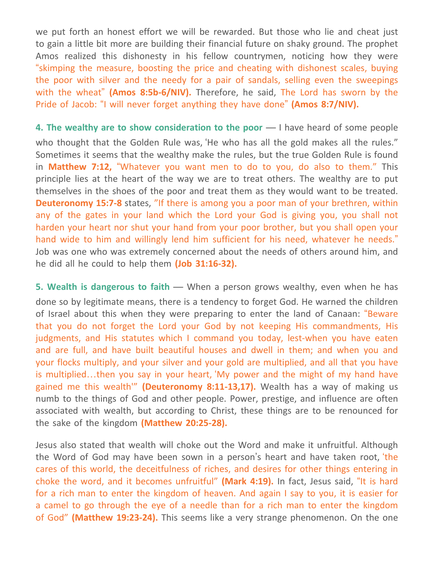we put forth an honest effort we will be rewarded. But those who lie and cheat just to gain a little bit more are building their financial future on shaky ground. The prophet Amos realized this dishonesty in his fellow countrymen, noticing how they were "skimping the measure, boosting the price and cheating with dishonest scales, buying the poor with silver and the needy for a pair of sandals, selling even the sweepings with the wheat" **(Amos 8:5b-6/NIV).** Therefore, he said, The Lord has sworn by the Pride of Jacob: "I will never forget anything they have done" **(Amos 8:7/NIV).**

**4. The wealthy are to show consideration to the poor** — I have heard of some people who thought that the Golden Rule was, 'He who has all the gold makes all the rules." Sometimes it seems that the wealthy make the rules, but the true Golden Rule is found in **Matthew 7:12,** "Whatever you want men to do to you, do also to them." This principle lies at the heart of the way we are to treat others. The wealthy are to put themselves in the shoes of the poor and treat them as they would want to be treated. **Deuteronomy 15:7-8** states, "If there is among you a poor man of your brethren, within any of the gates in your land which the Lord your God is giving you, you shall not harden your heart nor shut your hand from your poor brother, but you shall open your hand wide to him and willingly lend him sufficient for his need, whatever he needs." Job was one who was extremely concerned about the needs of others around him, and he did all he could to help them **(Job 31:16-32).**

**5. Wealth is dangerous to faith** — When a person grows wealthy, even when he has done so by legitimate means, there is a tendency to forget God. He warned the children of Israel about this when they were preparing to enter the land of Canaan: "Beware that you do not forget the Lord your God by not keeping His commandments, His judgments, and His statutes which I command you today, lest-when you have eaten and are full, and have built beautiful houses and dwell in them; and when you and your flocks multiply, and your silver and your gold are multiplied, and all that you have is multiplied…then you say in your heart, 'My power and the might of my hand have gained me this wealth'" **(Deuteronomy 8:11-13,17).** Wealth has a way of making us numb to the things of God and other people. Power, prestige, and influence are often associated with wealth, but according to Christ, these things are to be renounced for the sake of the kingdom **(Matthew 20:25-28).**

Jesus also stated that wealth will choke out the Word and make it unfruitful. Although the Word of God may have been sown in a person's heart and have taken root, 'the cares of this world, the deceitfulness of riches, and desires for other things entering in choke the word, and it becomes unfruitful" **(Mark 4:19).** In fact, Jesus said, "It is hard for a rich man to enter the kingdom of heaven. And again I say to you, it is easier for a camel to go through the eye of a needle than for a rich man to enter the kingdom of God" **(Matthew 19:23-24).** This seems like a very strange phenomenon. On the one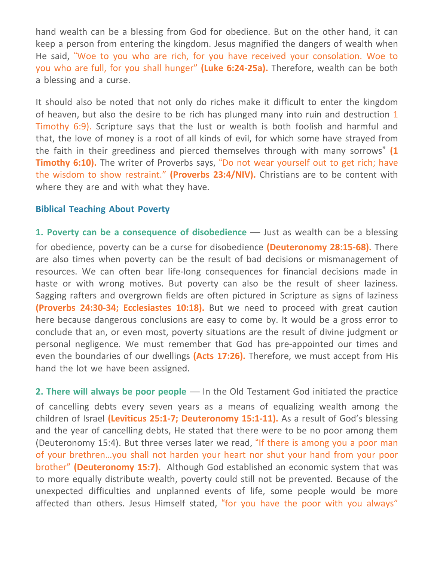hand wealth can be a blessing from God for obedience. But on the other hand, it can keep a person from entering the kingdom. Jesus magnified the dangers of wealth when He said, "Woe to you who are rich, for you have received your consolation. Woe to you who are full, for you shall hunger" **(Luke 6:24-25a).** Therefore, wealth can be both a blessing and a curse.

It should also be noted that not only do riches make it difficult to enter the kingdom of heaven, but also the desire to be rich has plunged many into ruin and destruction 1 Timothy 6:9). Scripture says that the lust or wealth is both foolish and harmful and that, the love of money is a root of all kinds of evil, for which some have strayed from the faith in their greediness and pierced themselves through with many sorrows" **(1 Timothy 6:10).** The writer of Proverbs says, "Do not wear yourself out to get rich; have the wisdom to show restraint." **(Proverbs 23:4/NIV).** Christians are to be content with where they are and with what they have.

#### **Biblical Teaching About Poverty**

**1. Poverty can be a consequence of disobedience** — Just as wealth can be a blessing for obedience, poverty can be a curse for disobedience **(Deuteronomy 28:15-68).** There are also times when poverty can be the result of bad decisions or mismanagement of resources. We can often bear life-long consequences for financial decisions made in haste or with wrong motives. But poverty can also be the result of sheer laziness. Sagging rafters and overgrown fields are often pictured in Scripture as signs of laziness **(Proverbs 24:30-34; Ecclesiastes 10:18).** But we need to proceed with great caution here because dangerous conclusions are easy to come by. It would be a gross error to conclude that an, or even most, poverty situations are the result of divine judgment or personal negligence. We must remember that God has pre-appointed our times and even the boundaries of our dwellings **(Acts 17:26).** Therefore, we must accept from His hand the lot we have been assigned.

**2. There will always be poor people** — In the Old Testament God initiated the practice of cancelling debts every seven years as a means of equalizing wealth among the children of Israel **(Leviticus 25:1-7; Deuteronomy 15:1-11).** As a result of God's blessing and the year of cancelling debts, He stated that there were to be no poor among them (Deuteronomy 15:4). But three verses later we read, "If there is among you a poor man of your brethren…you shall not harden your heart nor shut your hand from your poor brother" **(Deuteronomy 15:7).** Although God established an economic system that was to more equally distribute wealth, poverty could still not be prevented. Because of the unexpected difficulties and unplanned events of life, some people would be more affected than others. Jesus Himself stated, "for you have the poor with you always"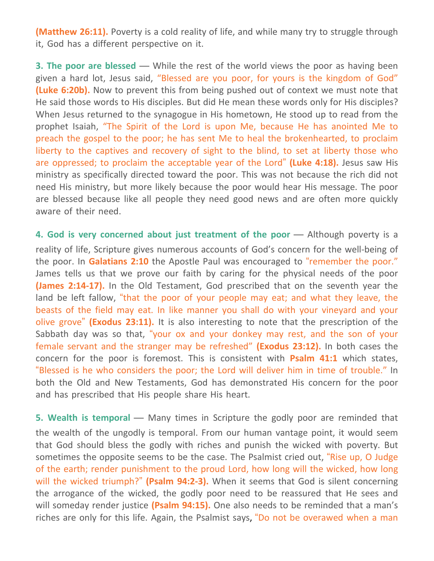**(Matthew 26:11).** Poverty is a cold reality of life, and while many try to struggle through it, God has a different perspective on it.

**3. The poor are blessed** — While the rest of the world views the poor as having been given a hard lot, Jesus said, "Blessed are you poor, for yours is the kingdom of God" **(Luke 6:20b).** Now to prevent this from being pushed out of context we must note that He said those words to His disciples. But did He mean these words only for His disciples? When Jesus returned to the synagogue in His hometown, He stood up to read from the prophet Isaiah, "The Spirit of the Lord is upon Me, because He has anointed Me to preach the gospel to the poor; he has sent Me to heal the brokenhearted, to proclaim liberty to the captives and recovery of sight to the blind, to set at liberty those who are oppressed; to proclaim the acceptable year of the Lord" **(Luke 4:18).** Jesus saw His ministry as specifically directed toward the poor. This was not because the rich did not need His ministry, but more likely because the poor would hear His message. The poor are blessed because like all people they need good news and are often more quickly aware of their need.

**4. God is very concerned about just treatment of the poor** — Although poverty is a reality of life, Scripture gives numerous accounts of God's concern for the well-being of the poor. In **Galatians 2:10** the Apostle Paul was encouraged to "remember the poor." James tells us that we prove our faith by caring for the physical needs of the poor **(James 2:14-17).** In the Old Testament, God prescribed that on the seventh year the land be left fallow, "that the poor of your people may eat; and what they leave, the beasts of the field may eat. In like manner you shall do with your vineyard and your olive grove" **(Exodus 23:11).** It is also interesting to note that the prescription of the Sabbath day was so that, "your ox and your donkey may rest, and the son of your female servant and the stranger may be refreshed" **(Exodus 23:12).** In both cases the concern for the poor is foremost. This is consistent with **Psalm 41:1** which states, "Blessed is he who considers the poor; the Lord will deliver him in time of trouble." In both the Old and New Testaments, God has demonstrated His concern for the poor and has prescribed that His people share His heart.

**5. Wealth is temporal** — Many times in Scripture the godly poor are reminded that the wealth of the ungodly is temporal. From our human vantage point, it would seem that God should bless the godly with riches and punish the wicked with poverty. But sometimes the opposite seems to be the case. The Psalmist cried out, "Rise up, O Judge of the earth; render punishment to the proud Lord, how long will the wicked, how long will the wicked triumph?" **(Psalm 94:2-3).** When it seems that God is silent concerning the arrogance of the wicked, the godly poor need to be reassured that He sees and will someday render justice **(Psalm 94:15).** One also needs to be reminded that a man's riches are only for this life. Again, the Psalmist says, "Do not be overawed when a man